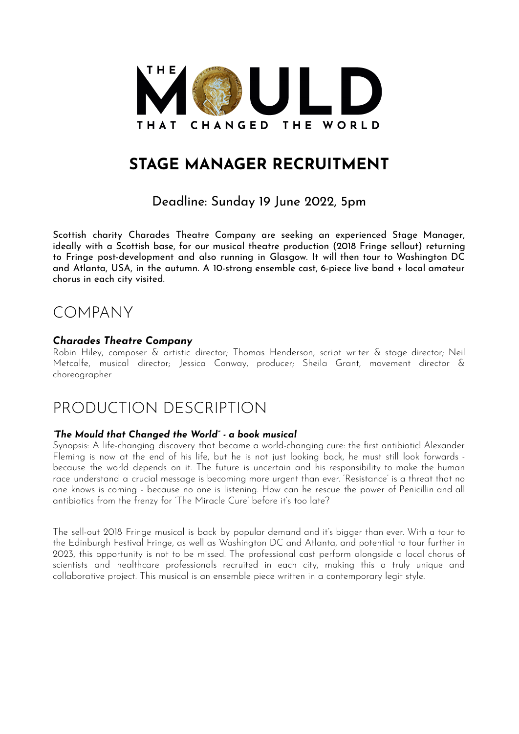

## **STAGE MANAGER RECRUITMENT**

### Deadline: Sunday 19 June 2022, 5pm

Scottish charity Charades Theatre Company are seeking an experienced Stage Manager, ideally with a Scottish base, for our musical theatre production (2018 Fringe sellout) returning to Fringe post-development and also running in Glasgow. It will then tour to Washington DC and Atlanta, USA, in the autumn. A 10-strong ensemble cast, 6-piece live band + local amateur chorus in each city visited.

## COMPANY

### *Charades Theatre Company*

Robin Hiley, composer & artistic director; Thomas Henderson, script writer & stage director; Neil Metcalfe, musical director; Jessica Conway, producer; Sheila Grant, movement director & choreographer

## PRODUCTION DESCRIPTION

#### *"The Mould that Changed the World" - a book musical*

Synopsis: A life-changing discovery that became a world-changing cure: the first antibiotic! Alexander Fleming is now at the end of his life, but he is not just looking back, he must still look forwards because the world depends on it. The future is uncertain and his responsibility to make the human race understand a crucial message is becoming more urgent than ever. 'Resistance' is a threat that no one knows is coming - because no one is listening. How can he rescue the power of Penicillin and all antibiotics from the frenzy for 'The Miracle Cure' before it's too late?

The sell-out 2018 Fringe musical is back by popular demand and it's bigger than ever. With a tour to the Edinburgh Festival Fringe, as well as Washington DC and Atlanta, and potential to tour further in 2023, this opportunity is not to be missed. The professional cast perform alongside a local chorus of scientists and healthcare professionals recruited in each city, making this a truly unique and collaborative project. This musical is an ensemble piece written in a contemporary legit style.